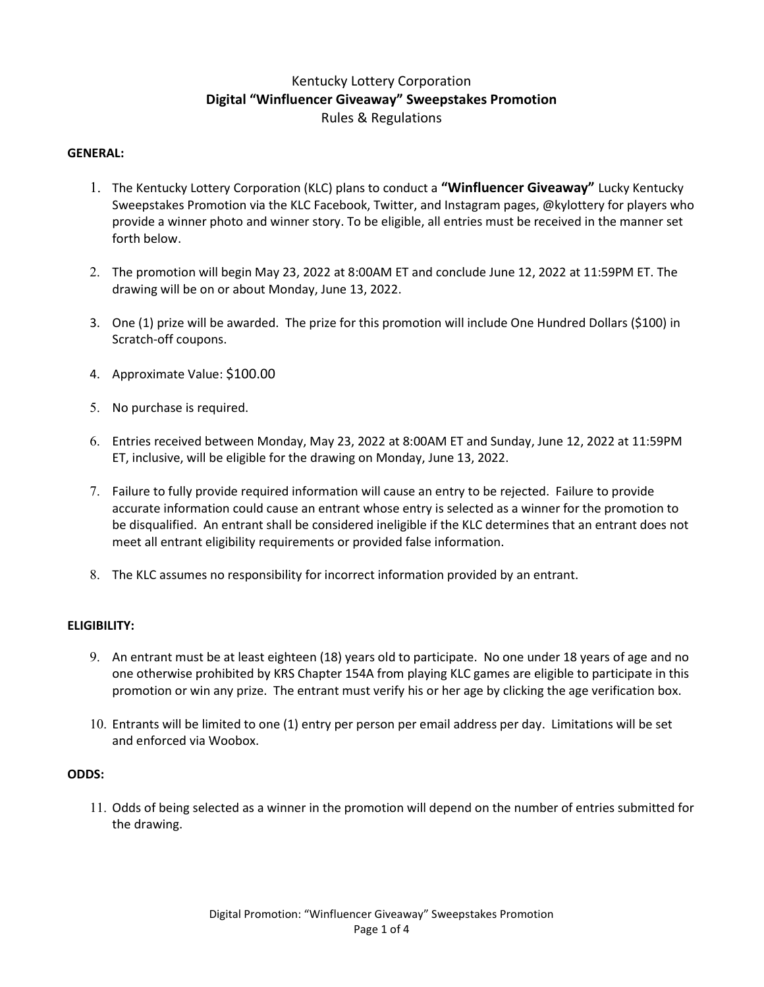# Kentucky Lottery Corporation Digital "Winfluencer Giveaway" Sweepstakes Promotion Rules & Regulations

## GENERAL:

- 1. The Kentucky Lottery Corporation (KLC) plans to conduct a "Winfluencer Giveaway" Lucky Kentucky Sweepstakes Promotion via the KLC Facebook, Twitter, and Instagram pages, @kylottery for players who provide a winner photo and winner story. To be eligible, all entries must be received in the manner set forth below.
- 2. The promotion will begin May 23, 2022 at 8:00AM ET and conclude June 12, 2022 at 11:59PM ET. The drawing will be on or about Monday, June 13, 2022.
- 3. One (1) prize will be awarded. The prize for this promotion will include One Hundred Dollars (\$100) in Scratch-off coupons.
- 4. Approximate Value: \$100.00
- 5. No purchase is required.
- 6. Entries received between Monday, May 23, 2022 at 8:00AM ET and Sunday, June 12, 2022 at 11:59PM ET, inclusive, will be eligible for the drawing on Monday, June 13, 2022.
- 7. Failure to fully provide required information will cause an entry to be rejected. Failure to provide accurate information could cause an entrant whose entry is selected as a winner for the promotion to be disqualified. An entrant shall be considered ineligible if the KLC determines that an entrant does not meet all entrant eligibility requirements or provided false information.
- 8. The KLC assumes no responsibility for incorrect information provided by an entrant.

# ELIGIBILITY:

- 9. An entrant must be at least eighteen (18) years old to participate. No one under 18 years of age and no one otherwise prohibited by KRS Chapter 154A from playing KLC games are eligible to participate in this promotion or win any prize. The entrant must verify his or her age by clicking the age verification box.
- 10. Entrants will be limited to one (1) entry per person per email address per day. Limitations will be set and enforced via Woobox.

# ODDS:

11. Odds of being selected as a winner in the promotion will depend on the number of entries submitted for the drawing.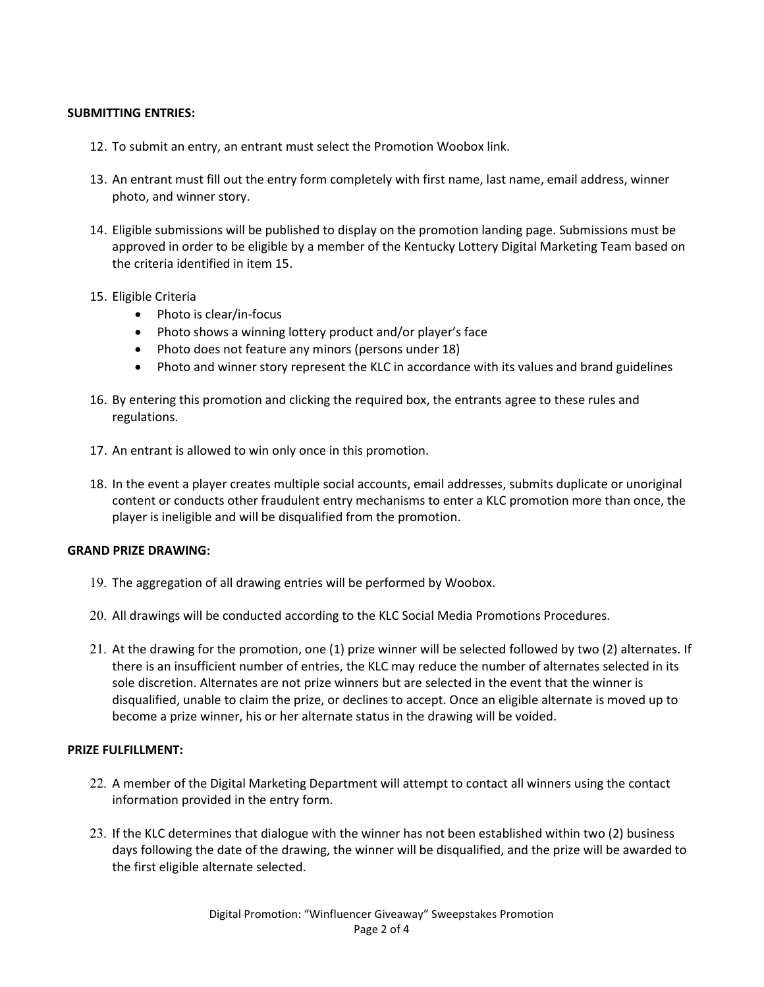# SUBMITTING ENTRIES:

- 12. To submit an entry, an entrant must select the Promotion Woobox link.
- 13. An entrant must fill out the entry form completely with first name, last name, email address, winner photo, and winner story.
- 14. Eligible submissions will be published to display on the promotion landing page. Submissions must be approved in order to be eligible by a member of the Kentucky Lottery Digital Marketing Team based on the criteria identified in item 15.
- 15. Eligible Criteria
	- Photo is clear/in-focus
	- Photo shows a winning lottery product and/or player's face
	- Photo does not feature any minors (persons under 18)
	- Photo and winner story represent the KLC in accordance with its values and brand guidelines
- 16. By entering this promotion and clicking the required box, the entrants agree to these rules and regulations.
- 17. An entrant is allowed to win only once in this promotion.
- 18. In the event a player creates multiple social accounts, email addresses, submits duplicate or unoriginal content or conducts other fraudulent entry mechanisms to enter a KLC promotion more than once, the player is ineligible and will be disqualified from the promotion.

#### GRAND PRIZE DRAWING:

- 19. The aggregation of all drawing entries will be performed by Woobox.
- 20. All drawings will be conducted according to the KLC Social Media Promotions Procedures.
- 21. At the drawing for the promotion, one (1) prize winner will be selected followed by two (2) alternates. If there is an insufficient number of entries, the KLC may reduce the number of alternates selected in its sole discretion. Alternates are not prize winners but are selected in the event that the winner is disqualified, unable to claim the prize, or declines to accept. Once an eligible alternate is moved up to become a prize winner, his or her alternate status in the drawing will be voided.

#### PRIZE FULFILLMENT:

- 22. A member of the Digital Marketing Department will attempt to contact all winners using the contact information provided in the entry form.
- 23. If the KLC determines that dialogue with the winner has not been established within two (2) business days following the date of the drawing, the winner will be disqualified, and the prize will be awarded to the first eligible alternate selected.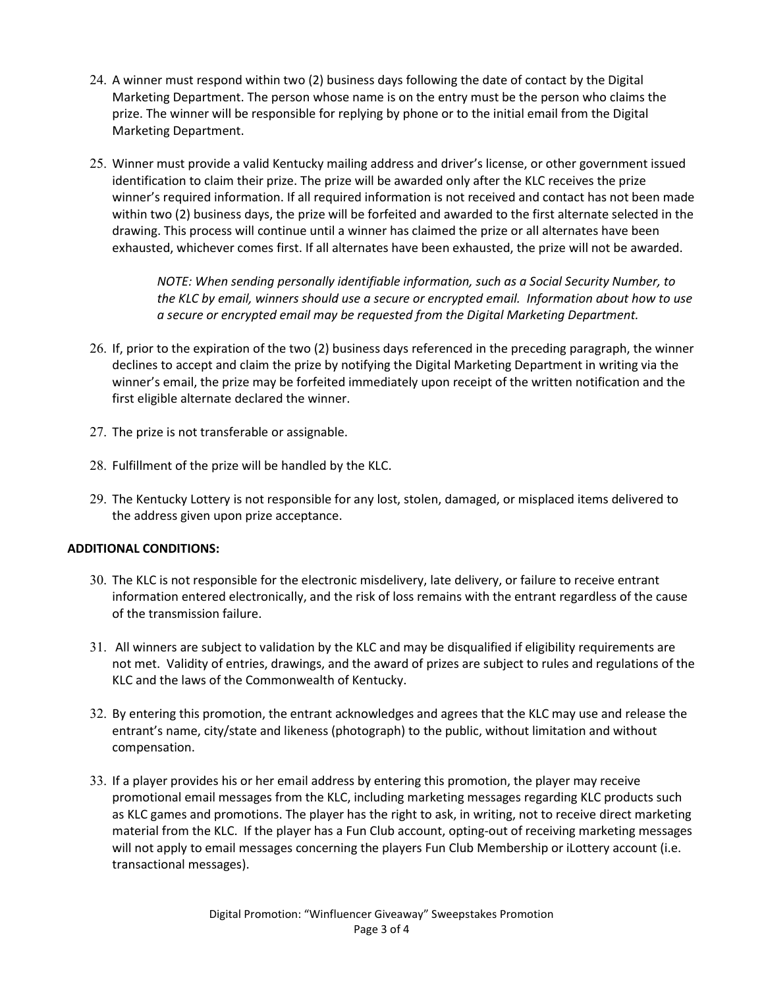- 24. A winner must respond within two (2) business days following the date of contact by the Digital Marketing Department. The person whose name is on the entry must be the person who claims the prize. The winner will be responsible for replying by phone or to the initial email from the Digital Marketing Department.
- 25. Winner must provide a valid Kentucky mailing address and driver's license, or other government issued identification to claim their prize. The prize will be awarded only after the KLC receives the prize winner's required information. If all required information is not received and contact has not been made within two (2) business days, the prize will be forfeited and awarded to the first alternate selected in the drawing. This process will continue until a winner has claimed the prize or all alternates have been exhausted, whichever comes first. If all alternates have been exhausted, the prize will not be awarded.

NOTE: When sending personally identifiable information, such as a Social Security Number, to the KLC by email, winners should use a secure or encrypted email. Information about how to use a secure or encrypted email may be requested from the Digital Marketing Department.

- 26. If, prior to the expiration of the two (2) business days referenced in the preceding paragraph, the winner declines to accept and claim the prize by notifying the Digital Marketing Department in writing via the winner's email, the prize may be forfeited immediately upon receipt of the written notification and the first eligible alternate declared the winner.
- 27. The prize is not transferable or assignable.
- 28. Fulfillment of the prize will be handled by the KLC.
- 29. The Kentucky Lottery is not responsible for any lost, stolen, damaged, or misplaced items delivered to the address given upon prize acceptance.

# ADDITIONAL CONDITIONS:

- 30. The KLC is not responsible for the electronic misdelivery, late delivery, or failure to receive entrant information entered electronically, and the risk of loss remains with the entrant regardless of the cause of the transmission failure.
- 31. All winners are subject to validation by the KLC and may be disqualified if eligibility requirements are not met. Validity of entries, drawings, and the award of prizes are subject to rules and regulations of the KLC and the laws of the Commonwealth of Kentucky.
- 32. By entering this promotion, the entrant acknowledges and agrees that the KLC may use and release the entrant's name, city/state and likeness (photograph) to the public, without limitation and without compensation.
- 33. If a player provides his or her email address by entering this promotion, the player may receive promotional email messages from the KLC, including marketing messages regarding KLC products such as KLC games and promotions. The player has the right to ask, in writing, not to receive direct marketing material from the KLC. If the player has a Fun Club account, opting-out of receiving marketing messages will not apply to email messages concerning the players Fun Club Membership or iLottery account (i.e. transactional messages).